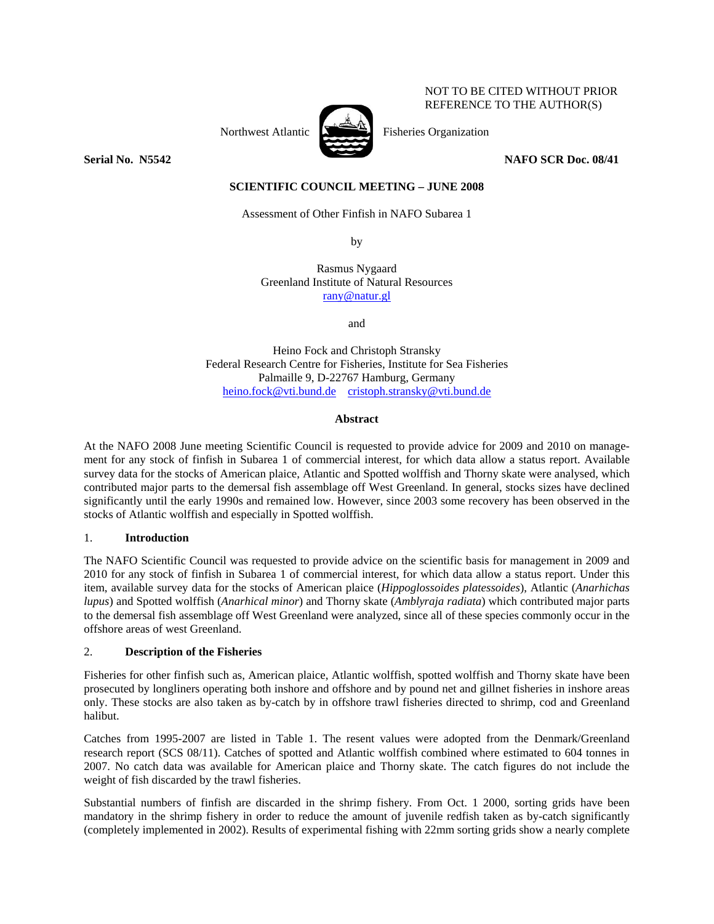## NOT TO BE CITED WITHOUT PRIOR REFERENCE TO THE AUTHOR(S)



Northwest Atlantic  $\sum_{n=1}^{\infty}$  Fisheries Organization

**Serial No. 35542** NAFO SCR Doc. 08/41 **NAFO** SCR Doc. 08/41

**SCIENTIFIC COUNCIL MEETING – JUNE 2008** 

Assessment of Other Finfish in NAFO Subarea 1

by

Rasmus Nygaard Greenland Institute of Natural Resources rany@natur.gl

and

Heino Fock and Christoph Stransky Federal Research Centre for Fisheries, Institute for Sea Fisheries Palmaille 9, D-22767 Hamburg, Germany heino.fock@vti.bund.de cristoph.stransky@vti.bund.de

# **Abstract**

At the NAFO 2008 June meeting Scientific Council is requested to provide advice for 2009 and 2010 on management for any stock of finfish in Subarea 1 of commercial interest, for which data allow a status report. Available survey data for the stocks of American plaice, Atlantic and Spotted wolffish and Thorny skate were analysed, which contributed major parts to the demersal fish assemblage off West Greenland. In general, stocks sizes have declined significantly until the early 1990s and remained low. However, since 2003 some recovery has been observed in the stocks of Atlantic wolffish and especially in Spotted wolffish.

## 1. **Introduction**

The NAFO Scientific Council was requested to provide advice on the scientific basis for management in 2009 and 2010 for any stock of finfish in Subarea 1 of commercial interest, for which data allow a status report. Under this item, available survey data for the stocks of American plaice (*Hippoglossoides platessoides*), Atlantic (*Anarhichas lupus*) and Spotted wolffish (*Anarhical minor*) and Thorny skate (*Amblyraja radiata*) which contributed major parts to the demersal fish assemblage off West Greenland were analyzed, since all of these species commonly occur in the offshore areas of west Greenland.

# 2. **Description of the Fisheries**

Fisheries for other finfish such as, American plaice, Atlantic wolffish, spotted wolffish and Thorny skate have been prosecuted by longliners operating both inshore and offshore and by pound net and gillnet fisheries in inshore areas only. These stocks are also taken as by-catch by in offshore trawl fisheries directed to shrimp, cod and Greenland halibut.

Catches from 1995-2007 are listed in Table 1. The resent values were adopted from the Denmark/Greenland research report (SCS 08/11). Catches of spotted and Atlantic wolffish combined where estimated to 604 tonnes in 2007. No catch data was available for American plaice and Thorny skate. The catch figures do not include the weight of fish discarded by the trawl fisheries.

Substantial numbers of finfish are discarded in the shrimp fishery. From Oct. 1 2000, sorting grids have been mandatory in the shrimp fishery in order to reduce the amount of juvenile redfish taken as by-catch significantly (completely implemented in 2002). Results of experimental fishing with 22mm sorting grids show a nearly complete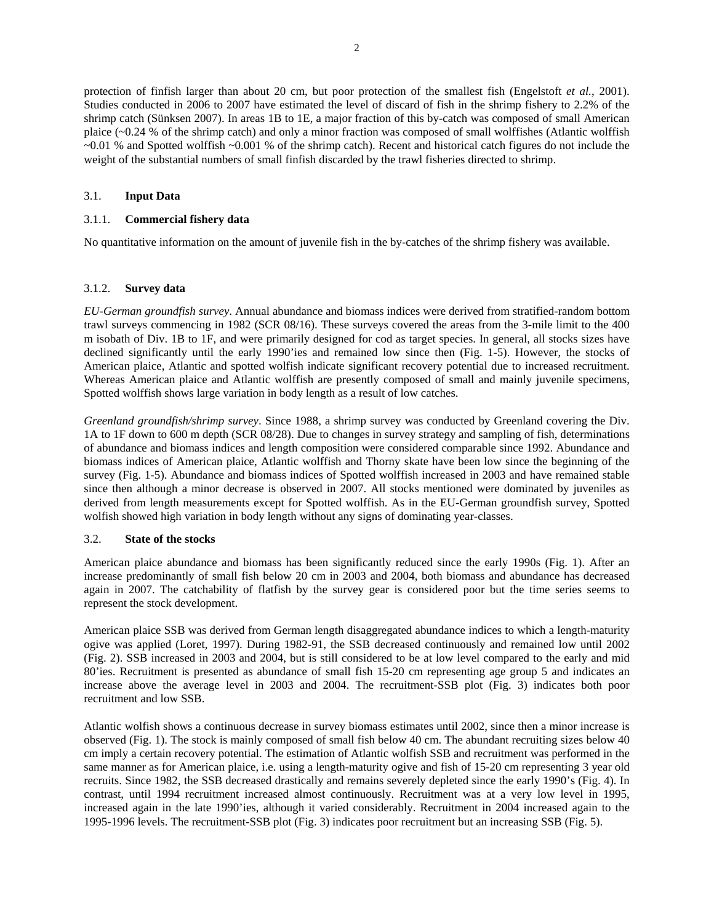protection of finfish larger than about 20 cm, but poor protection of the smallest fish (Engelstoft *et al.*, 2001). Studies conducted in 2006 to 2007 have estimated the level of discard of fish in the shrimp fishery to 2.2% of the shrimp catch (Sünksen 2007). In areas 1B to 1E, a major fraction of this by-catch was composed of small American plaice (~0.24 % of the shrimp catch) and only a minor fraction was composed of small wolffishes (Atlantic wolffish ~0.01 % and Spotted wolffish ~0.001 % of the shrimp catch). Recent and historical catch figures do not include the weight of the substantial numbers of small finfish discarded by the trawl fisheries directed to shrimp.

## 3.1. **Input Data**

# 3.1.1. **Commercial fishery data**

No quantitative information on the amount of juvenile fish in the by-catches of the shrimp fishery was available.

#### 3.1.2. **Survey data**

*EU-German groundfish survey*. Annual abundance and biomass indices were derived from stratified-random bottom trawl surveys commencing in 1982 (SCR 08/16). These surveys covered the areas from the 3-mile limit to the 400 m isobath of Div. 1B to 1F, and were primarily designed for cod as target species. In general, all stocks sizes have declined significantly until the early 1990'ies and remained low since then (Fig. 1-5). However, the stocks of American plaice, Atlantic and spotted wolfish indicate significant recovery potential due to increased recruitment. Whereas American plaice and Atlantic wolffish are presently composed of small and mainly juvenile specimens, Spotted wolffish shows large variation in body length as a result of low catches.

*Greenland groundfish/shrimp survey*. Since 1988, a shrimp survey was conducted by Greenland covering the Div. 1A to 1F down to 600 m depth (SCR 08/28). Due to changes in survey strategy and sampling of fish, determinations of abundance and biomass indices and length composition were considered comparable since 1992. Abundance and biomass indices of American plaice, Atlantic wolffish and Thorny skate have been low since the beginning of the survey (Fig. 1-5). Abundance and biomass indices of Spotted wolffish increased in 2003 and have remained stable since then although a minor decrease is observed in 2007. All stocks mentioned were dominated by juveniles as derived from length measurements except for Spotted wolffish. As in the EU-German groundfish survey, Spotted wolfish showed high variation in body length without any signs of dominating year-classes.

## 3.2. **State of the stocks**

American plaice abundance and biomass has been significantly reduced since the early 1990s (Fig. 1). After an increase predominantly of small fish below 20 cm in 2003 and 2004, both biomass and abundance has decreased again in 2007. The catchability of flatfish by the survey gear is considered poor but the time series seems to represent the stock development.

American plaice SSB was derived from German length disaggregated abundance indices to which a length-maturity ogive was applied (Loret, 1997). During 1982-91, the SSB decreased continuously and remained low until 2002 (Fig. 2). SSB increased in 2003 and 2004, but is still considered to be at low level compared to the early and mid 80'ies. Recruitment is presented as abundance of small fish 15-20 cm representing age group 5 and indicates an increase above the average level in 2003 and 2004. The recruitment-SSB plot (Fig. 3) indicates both poor recruitment and low SSB.

Atlantic wolfish shows a continuous decrease in survey biomass estimates until 2002, since then a minor increase is observed (Fig. 1). The stock is mainly composed of small fish below 40 cm. The abundant recruiting sizes below 40 cm imply a certain recovery potential. The estimation of Atlantic wolfish SSB and recruitment was performed in the same manner as for American plaice, i.e. using a length-maturity ogive and fish of 15-20 cm representing 3 year old recruits. Since 1982, the SSB decreased drastically and remains severely depleted since the early 1990's (Fig. 4). In contrast, until 1994 recruitment increased almost continuously. Recruitment was at a very low level in 1995, increased again in the late 1990'ies, although it varied considerably. Recruitment in 2004 increased again to the 1995-1996 levels. The recruitment-SSB plot (Fig. 3) indicates poor recruitment but an increasing SSB (Fig. 5).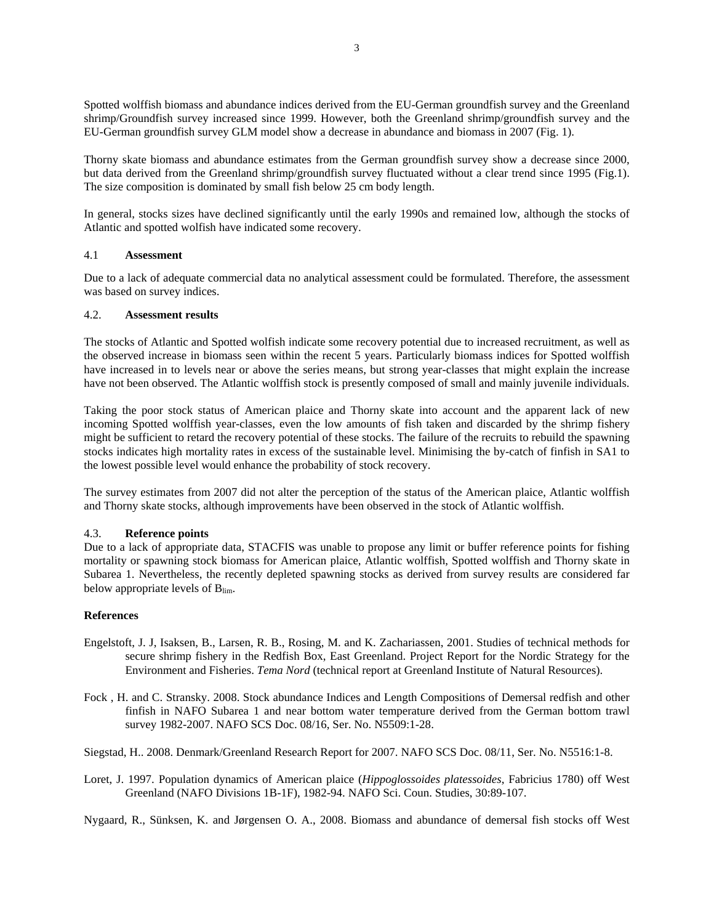Spotted wolffish biomass and abundance indices derived from the EU-German groundfish survey and the Greenland shrimp/Groundfish survey increased since 1999. However, both the Greenland shrimp/groundfish survey and the EU-German groundfish survey GLM model show a decrease in abundance and biomass in 2007 (Fig. 1).

Thorny skate biomass and abundance estimates from the German groundfish survey show a decrease since 2000, but data derived from the Greenland shrimp/groundfish survey fluctuated without a clear trend since 1995 (Fig.1). The size composition is dominated by small fish below 25 cm body length.

In general, stocks sizes have declined significantly until the early 1990s and remained low, although the stocks of Atlantic and spotted wolfish have indicated some recovery.

## 4.1 **Assessment**

Due to a lack of adequate commercial data no analytical assessment could be formulated. Therefore, the assessment was based on survey indices.

## 4.2. **Assessment results**

The stocks of Atlantic and Spotted wolfish indicate some recovery potential due to increased recruitment, as well as the observed increase in biomass seen within the recent 5 years. Particularly biomass indices for Spotted wolffish have increased in to levels near or above the series means, but strong year-classes that might explain the increase have not been observed. The Atlantic wolffish stock is presently composed of small and mainly juvenile individuals.

Taking the poor stock status of American plaice and Thorny skate into account and the apparent lack of new incoming Spotted wolffish year-classes, even the low amounts of fish taken and discarded by the shrimp fishery might be sufficient to retard the recovery potential of these stocks. The failure of the recruits to rebuild the spawning stocks indicates high mortality rates in excess of the sustainable level. Minimising the by-catch of finfish in SA1 to the lowest possible level would enhance the probability of stock recovery.

The survey estimates from 2007 did not alter the perception of the status of the American plaice, Atlantic wolffish and Thorny skate stocks, although improvements have been observed in the stock of Atlantic wolffish.

## 4.3. **Reference points**

Due to a lack of appropriate data, STACFIS was unable to propose any limit or buffer reference points for fishing mortality or spawning stock biomass for American plaice, Atlantic wolffish, Spotted wolffish and Thorny skate in Subarea 1. Nevertheless, the recently depleted spawning stocks as derived from survey results are considered far below appropriate levels of  $B_{\text{lim}}$ .

# **References**

- Engelstoft, J. J, Isaksen, B., Larsen, R. B., Rosing, M. and K. Zachariassen, 2001. Studies of technical methods for secure shrimp fishery in the Redfish Box, East Greenland. Project Report for the Nordic Strategy for the Environment and Fisheries. *Tema Nord* (technical report at Greenland Institute of Natural Resources).
- Fock , H. and C. Stransky. 2008. Stock abundance Indices and Length Compositions of Demersal redfish and other finfish in NAFO Subarea 1 and near bottom water temperature derived from the German bottom trawl survey 1982-2007. NAFO SCS Doc. 08/16, Ser. No. N5509:1-28.
- Siegstad, H.. 2008. Denmark/Greenland Research Report for 2007. NAFO SCS Doc. 08/11, Ser. No. N5516:1-8.
- Loret, J. 1997. Population dynamics of American plaice (*Hippoglossoides platessoides*, Fabricius 1780) off West Greenland (NAFO Divisions 1B-1F), 1982-94. NAFO Sci. Coun. Studies, 30:89-107.

Nygaard, R., Sünksen, K. and Jørgensen O. A., 2008. Biomass and abundance of demersal fish stocks off West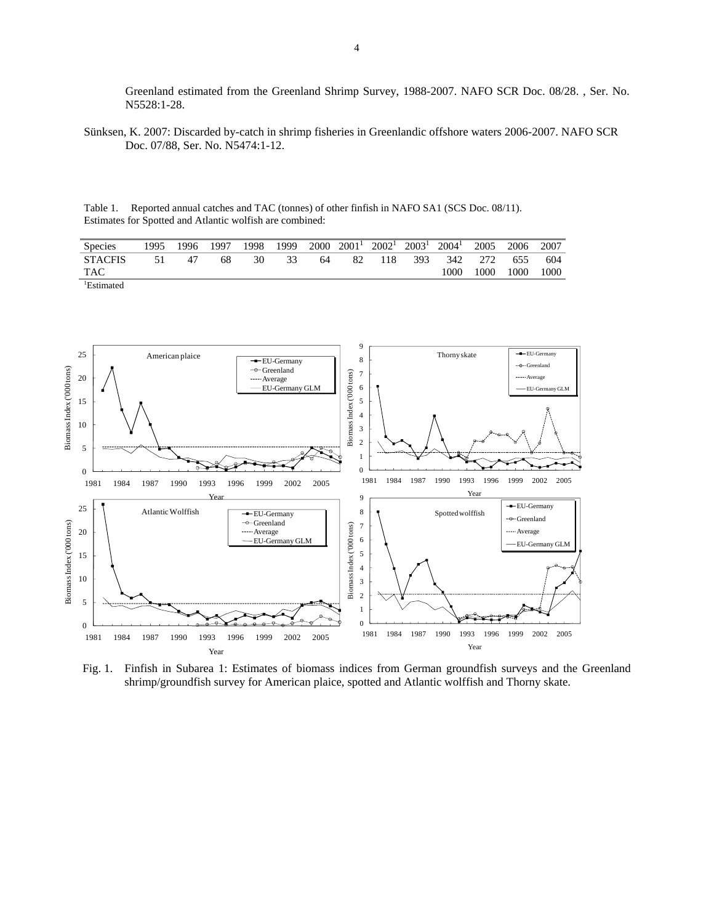Greenland estimated from the Greenland Shrimp Survey, 1988-2007. NAFO SCR Doc. 08/28. , Ser. No. N5528:1-28.

Sünksen, K. 2007: Discarded by-catch in shrimp fisheries in Greenlandic offshore waters 2006-2007. NAFO SCR Doc. 07/88, Ser. No. N5474:1-12.

Table 1. Reported annual catches and TAC (tonnes) of other finfish in NAFO SA1 (SCS Doc. 08/11). Estimates for Spotted and Atlantic wolfish are combined:

| <b>Species</b>                                                            | 1995 | 1996- | 1997 | 1998 | 1999 | 2000 | $2001^1$ | $2002^1$ | $2003^{\frac{1}{2}}$ | 2004 <sup>1</sup> | 2005 | 2006 | 2007 |
|---------------------------------------------------------------------------|------|-------|------|------|------|------|----------|----------|----------------------|-------------------|------|------|------|
| <b>STACFIS</b>                                                            | 51   | 47    | 68   | 30   | 33   | 64   | 82       | 118      | 393                  | 342               | 272  | 655  | 604  |
| TAC                                                                       |      |       |      |      |      |      |          |          |                      | 1000              | 1000 | 1000 | 1000 |
| the contract of the contract of the contract of<br><sup>1</sup> Estimated |      |       |      |      |      |      |          |          |                      |                   |      |      |      |



Fig. 1. Finfish in Subarea 1: Estimates of biomass indices from German groundfish surveys and the Greenland shrimp/groundfish survey for American plaice, spotted and Atlantic wolffish and Thorny skate.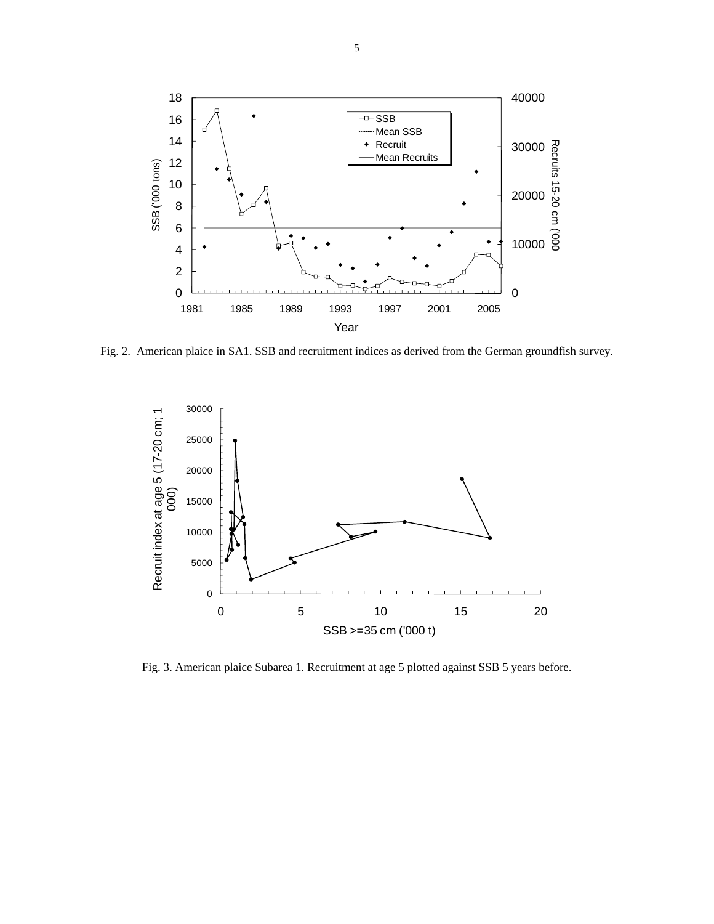

Fig. 2. American plaice in SA1. SSB and recruitment indices as derived from the German groundfish survey.



Fig. 3. American plaice Subarea 1. Recruitment at age 5 plotted against SSB 5 years before.